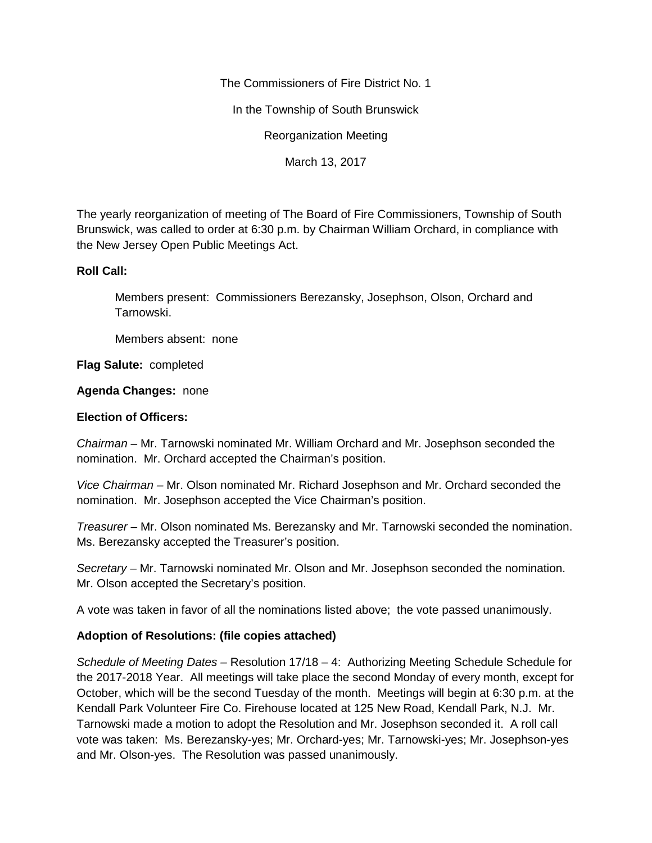The Commissioners of Fire District No. 1

In the Township of South Brunswick

Reorganization Meeting

March 13, 2017

The yearly reorganization of meeting of The Board of Fire Commissioners, Township of South Brunswick, was called to order at 6:30 p.m. by Chairman William Orchard, in compliance with the New Jersey Open Public Meetings Act.

## **Roll Call:**

Members present: Commissioners Berezansky, Josephson, Olson, Orchard and Tarnowski.

Members absent: none

**Flag Salute:** completed

## **Agenda Changes:** none

## **Election of Officers:**

*Chairman –* Mr. Tarnowski nominated Mr. William Orchard and Mr. Josephson seconded the nomination. Mr. Orchard accepted the Chairman's position.

*Vice Chairman –* Mr. Olson nominated Mr. Richard Josephson and Mr. Orchard seconded the nomination. Mr. Josephson accepted the Vice Chairman's position.

*Treasurer –* Mr. Olson nominated Ms. Berezansky and Mr. Tarnowski seconded the nomination. Ms. Berezansky accepted the Treasurer's position.

*Secretary –* Mr. Tarnowski nominated Mr. Olson and Mr. Josephson seconded the nomination. Mr. Olson accepted the Secretary's position.

A vote was taken in favor of all the nominations listed above; the vote passed unanimously.

## **Adoption of Resolutions: (file copies attached)**

*Schedule of Meeting Dates –* Resolution 17/18 – 4: Authorizing Meeting Schedule Schedule for the 2017-2018 Year. All meetings will take place the second Monday of every month, except for October, which will be the second Tuesday of the month. Meetings will begin at 6:30 p.m. at the Kendall Park Volunteer Fire Co. Firehouse located at 125 New Road, Kendall Park, N.J. Mr. Tarnowski made a motion to adopt the Resolution and Mr. Josephson seconded it. A roll call vote was taken: Ms. Berezansky-yes; Mr. Orchard-yes; Mr. Tarnowski-yes; Mr. Josephson-yes and Mr. Olson-yes. The Resolution was passed unanimously.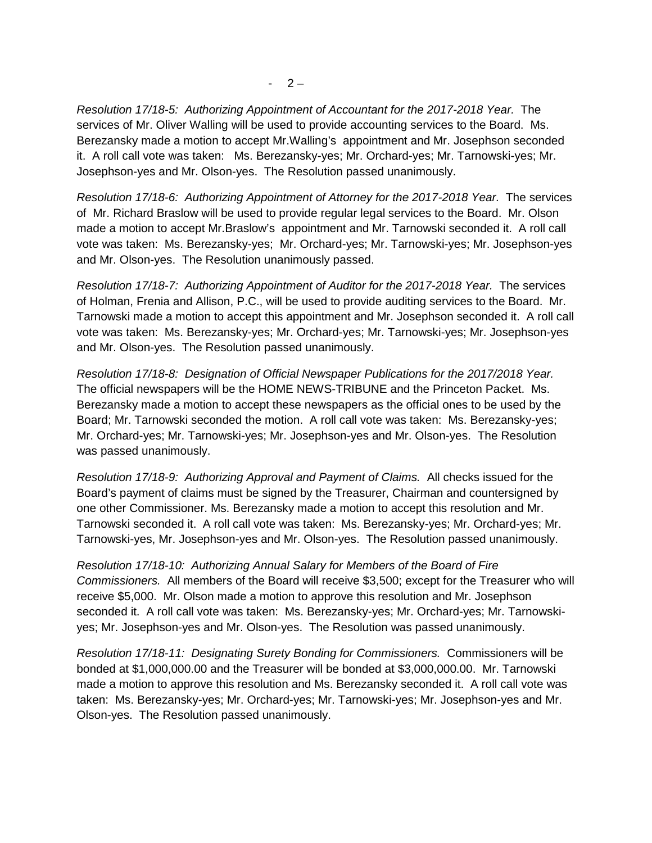*Resolution 17/18-5: Authorizing Appointment of Accountant for the 2017-2018 Year.* The services of Mr. Oliver Walling will be used to provide accounting services to the Board. Ms. Berezansky made a motion to accept Mr.Walling's appointment and Mr. Josephson seconded it. A roll call vote was taken: Ms. Berezansky-yes; Mr. Orchard-yes; Mr. Tarnowski-yes; Mr. Josephson-yes and Mr. Olson-yes. The Resolution passed unanimously.

*Resolution 17/18-6: Authorizing Appointment of Attorney for the 2017-2018 Year.* The services of Mr. Richard Braslow will be used to provide regular legal services to the Board. Mr. Olson made a motion to accept Mr.Braslow's appointment and Mr. Tarnowski seconded it. A roll call vote was taken: Ms. Berezansky-yes; Mr. Orchard-yes; Mr. Tarnowski-yes; Mr. Josephson-yes and Mr. Olson-yes. The Resolution unanimously passed.

*Resolution 17/18-7: Authorizing Appointment of Auditor for the 2017-2018 Year.* The services of Holman, Frenia and Allison, P.C., will be used to provide auditing services to the Board. Mr. Tarnowski made a motion to accept this appointment and Mr. Josephson seconded it. A roll call vote was taken: Ms. Berezansky-yes; Mr. Orchard-yes; Mr. Tarnowski-yes; Mr. Josephson-yes and Mr. Olson-yes. The Resolution passed unanimously.

*Resolution 17/18-8: Designation of Official Newspaper Publications for the 2017/2018 Year.* The official newspapers will be the HOME NEWS-TRIBUNE and the Princeton Packet. Ms. Berezansky made a motion to accept these newspapers as the official ones to be used by the Board; Mr. Tarnowski seconded the motion. A roll call vote was taken: Ms. Berezansky-yes; Mr. Orchard-yes; Mr. Tarnowski-yes; Mr. Josephson-yes and Mr. Olson-yes. The Resolution was passed unanimously.

*Resolution 17/18-9: Authorizing Approval and Payment of Claims.* All checks issued for the Board's payment of claims must be signed by the Treasurer, Chairman and countersigned by one other Commissioner. Ms. Berezansky made a motion to accept this resolution and Mr. Tarnowski seconded it. A roll call vote was taken: Ms. Berezansky-yes; Mr. Orchard-yes; Mr. Tarnowski-yes, Mr. Josephson-yes and Mr. Olson-yes. The Resolution passed unanimously.

*Resolution 17/18-10: Authorizing Annual Salary for Members of the Board of Fire Commissioners.* All members of the Board will receive \$3,500; except for the Treasurer who will receive \$5,000. Mr. Olson made a motion to approve this resolution and Mr. Josephson seconded it. A roll call vote was taken: Ms. Berezansky-yes; Mr. Orchard-yes; Mr. Tarnowski yes; Mr. Josephson-yes and Mr. Olson-yes. The Resolution was passed unanimously.

*Resolution 17/18-11: Designating Surety Bonding for Commissioners.* Commissioners will be bonded at \$1,000,000.00 and the Treasurer will be bonded at \$3,000,000.00. Mr. Tarnowski made a motion to approve this resolution and Ms. Berezansky seconded it. A roll call vote was taken: Ms. Berezansky-yes; Mr. Orchard-yes; Mr. Tarnowski-yes; Mr. Josephson-yes and Mr. Olson-yes. The Resolution passed unanimously.